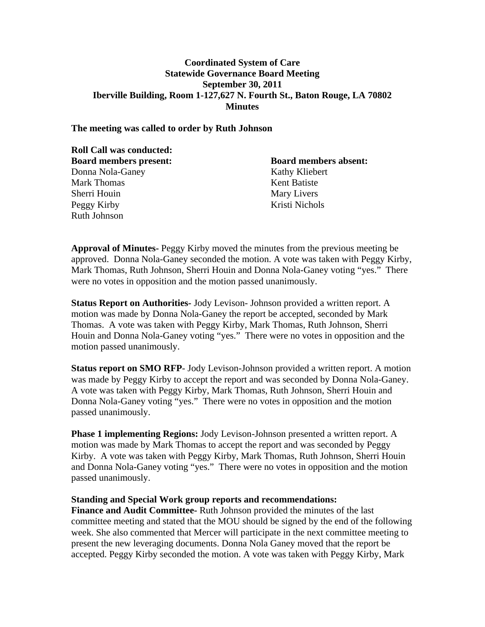## **Coordinated System of Care Statewide Governance Board Meeting September 30, 2011 Iberville Building, Room 1-127,627 N. Fourth St., Baton Rouge, LA 70802 Minutes**

### **The meeting was called to order by Ruth Johnson**

| <b>Roll Call was conducted:</b> |                              |
|---------------------------------|------------------------------|
| <b>Board members present:</b>   | <b>Board members absent:</b> |
| Donna Nola-Ganey                | Kathy Kliebert               |
| <b>Mark Thomas</b>              | Kent Batiste                 |
| Sherri Houin                    | Mary Livers                  |
| Peggy Kirby                     | Kristi Nichols               |
| <b>Ruth Johnson</b>             |                              |

**Approval of Minutes-** Peggy Kirby moved the minutes from the previous meeting be approved. Donna Nola-Ganey seconded the motion. A vote was taken with Peggy Kirby, Mark Thomas, Ruth Johnson, Sherri Houin and Donna Nola-Ganey voting "yes." There were no votes in opposition and the motion passed unanimously.

**Status Report on Authorities-** Jody Levison- Johnson provided a written report. A motion was made by Donna Nola-Ganey the report be accepted, seconded by Mark Thomas. A vote was taken with Peggy Kirby, Mark Thomas, Ruth Johnson, Sherri Houin and Donna Nola-Ganey voting "yes." There were no votes in opposition and the motion passed unanimously.

**Status report on SMO RFP**- Jody Levison-Johnson provided a written report. A motion was made by Peggy Kirby to accept the report and was seconded by Donna Nola-Ganey. A vote was taken with Peggy Kirby, Mark Thomas, Ruth Johnson, Sherri Houin and Donna Nola-Ganey voting "yes." There were no votes in opposition and the motion passed unanimously.

**Phase 1 implementing Regions:** Jody Levison-Johnson presented a written report. A motion was made by Mark Thomas to accept the report and was seconded by Peggy Kirby. A vote was taken with Peggy Kirby, Mark Thomas, Ruth Johnson, Sherri Houin and Donna Nola-Ganey voting "yes." There were no votes in opposition and the motion passed unanimously.

#### **Standing and Special Work group reports and recommendations:**

**Finance and Audit Committee-** Ruth Johnson provided the minutes of the last committee meeting and stated that the MOU should be signed by the end of the following week. She also commented that Mercer will participate in the next committee meeting to present the new leveraging documents. Donna Nola Ganey moved that the report be accepted. Peggy Kirby seconded the motion. A vote was taken with Peggy Kirby, Mark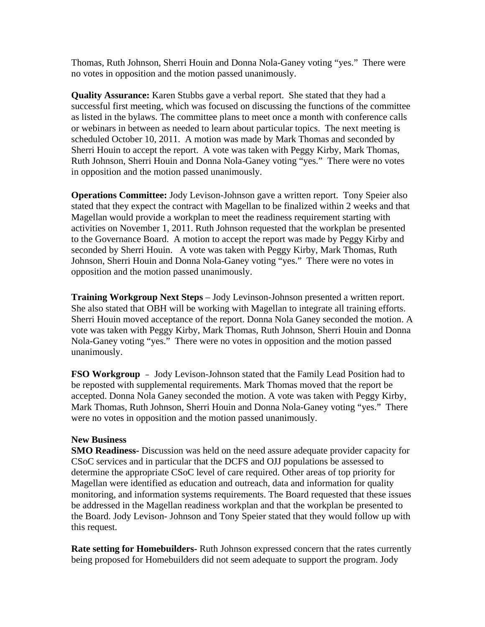Thomas, Ruth Johnson, Sherri Houin and Donna Nola-Ganey voting "yes." There were no votes in opposition and the motion passed unanimously.

**Quality Assurance:** Karen Stubbs gave a verbal report. She stated that they had a successful first meeting, which was focused on discussing the functions of the committee as listed in the bylaws. The committee plans to meet once a month with conference calls or webinars in between as needed to learn about particular topics. The next meeting is scheduled October 10, 2011. A motion was made by Mark Thomas and seconded by Sherri Houin to accept the report. A vote was taken with Peggy Kirby, Mark Thomas, Ruth Johnson, Sherri Houin and Donna Nola-Ganey voting "yes." There were no votes in opposition and the motion passed unanimously.

**Operations Committee:** Jody Levison-Johnson gave a written report. Tony Speier also stated that they expect the contract with Magellan to be finalized within 2 weeks and that Magellan would provide a workplan to meet the readiness requirement starting with activities on November 1, 2011. Ruth Johnson requested that the workplan be presented to the Governance Board. A motion to accept the report was made by Peggy Kirby and seconded by Sherri Houin. A vote was taken with Peggy Kirby, Mark Thomas, Ruth Johnson, Sherri Houin and Donna Nola-Ganey voting "yes." There were no votes in opposition and the motion passed unanimously.

**Training Workgroup Next Steps** – Jody Levinson-Johnson presented a written report. She also stated that OBH will be working with Magellan to integrate all training efforts. Sherri Houin moved acceptance of the report. Donna Nola Ganey seconded the motion. A vote was taken with Peggy Kirby, Mark Thomas, Ruth Johnson, Sherri Houin and Donna Nola-Ganey voting "yes." There were no votes in opposition and the motion passed unanimously.

**FSO Workgroup** – Jody Levison-Johnson stated that the Family Lead Position had to be reposted with supplemental requirements. Mark Thomas moved that the report be accepted. Donna Nola Ganey seconded the motion. A vote was taken with Peggy Kirby, Mark Thomas, Ruth Johnson, Sherri Houin and Donna Nola-Ganey voting "yes." There were no votes in opposition and the motion passed unanimously.

## **New Business**

**SMO Readiness-** Discussion was held on the need assure adequate provider capacity for CSoC services and in particular that the DCFS and OJJ populations be assessed to determine the appropriate CSoC level of care required. Other areas of top priority for Magellan were identified as education and outreach, data and information for quality monitoring, and information systems requirements. The Board requested that these issues be addressed in the Magellan readiness workplan and that the workplan be presented to the Board. Jody Levison- Johnson and Tony Speier stated that they would follow up with this request.

**Rate setting for Homebuilders-** Ruth Johnson expressed concern that the rates currently being proposed for Homebuilders did not seem adequate to support the program. Jody